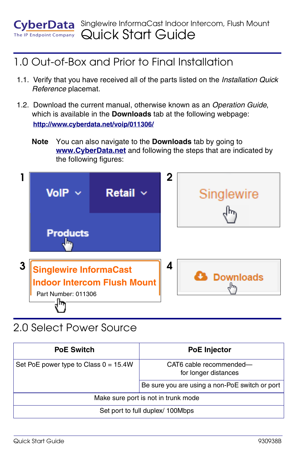

#### 1.0 Out-of-Box and Prior to Final Installation

- 1.1. Verify that you have received all of the parts listed on the *Installation Quick Reference* placemat.
- 1.2. Download the current manual, otherwise known as an *Operation Guide*, which is available in the **Downloads** tab at the following webpage: **<http://www.cyberdata.net/voip/011306/>**
	- **Note** You can also navigate to the **Downloads** tab by going to **<www.CyberData.net>** and following the steps that are indicated by the following figures:



#### 2.0 Select Power Source

| <b>PoE Switch</b>                       | <b>PoE</b> Injector                             |
|-----------------------------------------|-------------------------------------------------|
| Set PoE power type to Class $0 = 15.4W$ | CAT6 cable recommended-<br>for longer distances |
|                                         | Be sure you are using a non-PoE switch or port  |
| Make sure port is not in trunk mode     |                                                 |
| Set port to full duplex/ 100Mbps        |                                                 |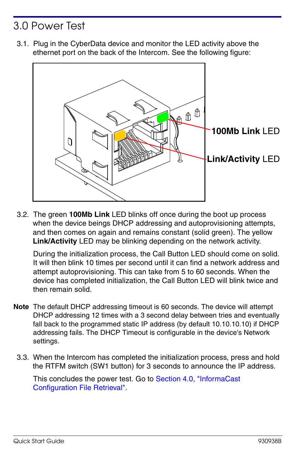## 3.0 Power Test

3.1. Plug in the CyberData device and monitor the LED activity above the ethernet port on the back of the Intercom. See the following figure:



3.2. The green **100Mb Link** LED blinks off once during the boot up process when the device beings DHCP addressing and autoprovisioning attempts, and then comes on again and remains constant (solid green). The yellow **Link/Activity** LED may be blinking depending on the network activity.

During the initialization process, the Call Button LED should come on solid. It will then blink 10 times per second until it can find a network address and attempt autoprovisioning. This can take from 5 to 60 seconds. When the device has completed initialization, the Call Button LED will blink twice and then remain solid.

- **Note** The default DHCP addressing timeout is 60 seconds. The device will attempt DHCP addressing 12 times with a 3 second delay between tries and eventually fall back to the programmed static IP address (by default 10.10.10.10) if DHCP addressing fails. The DHCP Timeout is configurable in the device's Network settings.
	- 3.3. When the Intercom has completed the initialization process, press and hold the RTFM switch (SW1 button) for 3 seconds to announce the IP address.

This concludes the power test. Go to [Section 4.0, "InformaCast](#page-2-0)  [Configuration File Retrieval"](#page-2-0).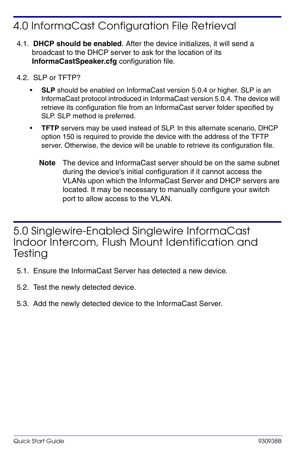## <span id="page-2-0"></span>4.0 InformaCast Configuration File Retrieval

- 4.1. **DHCP should be enabled**. After the device initializes, it will send a broadcast to the DHCP server to ask for the location of its **InformaCastSpeaker.cfg** configuration file.
- 4.2. SLP or TFTP?
	- **SLP** should be enabled on InformaCast version 5.0.4 or higher. SLP is an InformaCast protocol introduced in InformaCast version 5.0.4. The device will retrieve its configuration file from an InformaCast server folder specified by SLP. SLP method is preferred.
	- **TFTP** servers may be used instead of SLP. In this alternate scenario, DHCP option 150 is required to provide the device with the address of the TFTP server. Otherwise, the device will be unable to retrieve its configuration file.
		- **Note** The device and InformaCast server should be on the same subnet during the device's initial configuration if it cannot access the VLANs upon which the InformaCast Server and DHCP servers are located. It may be necessary to manually configure your switch port to allow access to the VLAN.

5.0 Singlewire-Enabled Singlewire InformaCast Indoor Intercom, Flush Mount Identification and **Testing** 

- 5.1. Ensure the InformaCast Server has detected a new device.
- 5.2. Test the newly detected device.
- 5.3. Add the newly detected device to the InformaCast Server.